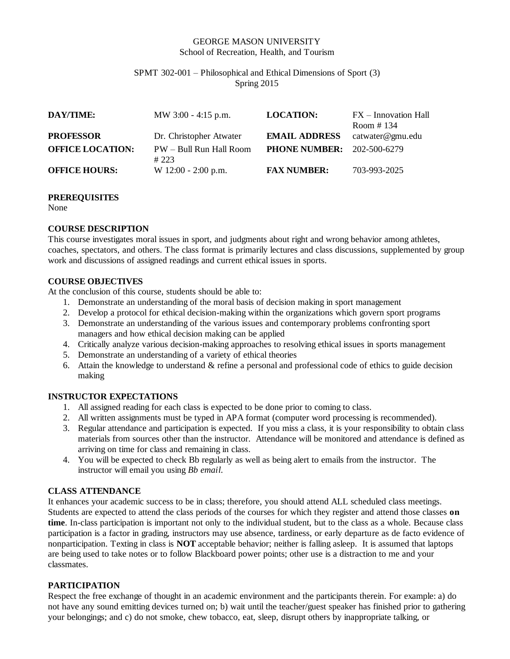### GEORGE MASON UNIVERSITY School of Recreation, Health, and Tourism

#### SPMT 302-001 – Philosophical and Ethical Dimensions of Sport (3) Spring 2015

| DAY/TIME:               | MW 3:00 - 4:15 p.m.             | <b>LOCATION:</b>                  | FX – Innovation Hall<br>Room $\#$ 134 |
|-------------------------|---------------------------------|-----------------------------------|---------------------------------------|
| <b>PROFESSOR</b>        | Dr. Christopher Atwater         | <b>EMAIL ADDRESS</b>              | catwater@gmu.edu                      |
| <b>OFFICE LOCATION:</b> | PW - Bull Run Hall Room<br>#223 | <b>PHONE NUMBER:</b> 202-500-6279 |                                       |
| <b>OFFICE HOURS:</b>    | $W$ 12:00 - 2:00 p.m.           | <b>FAX NUMBER:</b>                | 703-993-2025                          |

### **PREREQUISITES**

None

## **COURSE DESCRIPTION**

This course investigates moral issues in sport, and judgments about right and wrong behavior among athletes, coaches, spectators, and others. The class format is primarily lectures and class discussions, supplemented by group work and discussions of assigned readings and current ethical issues in sports.

## **COURSE OBJECTIVES**

At the conclusion of this course, students should be able to:

- 1. Demonstrate an understanding of the moral basis of decision making in sport management
- 2. Develop a protocol for ethical decision-making within the organizations which govern sport programs
- 3. Demonstrate an understanding of the various issues and contemporary problems confronting sport managers and how ethical decision making can be applied
- 4. Critically analyze various decision-making approaches to resolving ethical issues in sports management
- 5. Demonstrate an understanding of a variety of ethical theories
- 6. Attain the knowledge to understand & refine a personal and professional code of ethics to guide decision making

### **INSTRUCTOR EXPECTATIONS**

- 1. All assigned reading for each class is expected to be done prior to coming to class.
- 2. All written assignments must be typed in APA format (computer word processing is recommended).
- 3. Regular attendance and participation is expected. If you miss a class, it is your responsibility to obtain class materials from sources other than the instructor. Attendance will be monitored and attendance is defined as arriving on time for class and remaining in class.
- 4. You will be expected to check Bb regularly as well as being alert to emails from the instructor. The instructor will email you using *Bb email.*

### **CLASS ATTENDANCE**

It enhances your academic success to be in class; therefore, you should attend ALL scheduled class meetings. Students are expected to attend the class periods of the courses for which they register and attend those classes **on time**. In-class participation is important not only to the individual student, but to the class as a whole. Because class participation is a factor in grading, instructors may use absence, tardiness, or early departure as de facto evidence of nonparticipation. Texting in class is **NOT** acceptable behavior; neither is falling asleep. It is assumed that laptops are being used to take notes or to follow Blackboard power points; other use is a distraction to me and your classmates.

### **PARTICIPATION**

Respect the free exchange of thought in an academic environment and the participants therein. For example: a) do not have any sound emitting devices turned on; b) wait until the teacher/guest speaker has finished prior to gathering your belongings; and c) do not smoke, chew tobacco, eat, sleep, disrupt others by inappropriate talking, or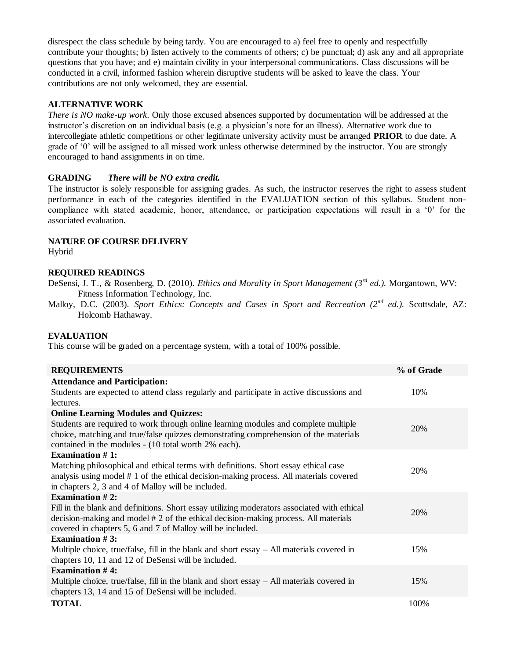disrespect the class schedule by being tardy. You are encouraged to a) feel free to openly and respectfully contribute your thoughts; b) listen actively to the comments of others; c) be punctual; d) ask any and all appropriate questions that you have; and e) maintain civility in your interpersonal communications. Class discussions will be conducted in a civil, informed fashion wherein disruptive students will be asked to leave the class. Your contributions are not only welcomed, they are essential.

### **ALTERNATIVE WORK**

*There is NO make-up work*. Only those excused absences supported by documentation will be addressed at the instructor's discretion on an individual basis (e.g. a physician's note for an illness). Alternative work due to intercollegiate athletic competitions or other legitimate university activity must be arranged **PRIOR** to due date. A grade of '0' will be assigned to all missed work unless otherwise determined by the instructor. You are strongly encouraged to hand assignments in on time.

## **GRADING** *There will be NO extra credit.*

The instructor is solely responsible for assigning grades. As such, the instructor reserves the right to assess student performance in each of the categories identified in the EVALUATION section of this syllabus. Student noncompliance with stated academic, honor, attendance, or participation expectations will result in a '0' for the associated evaluation.

## **NATURE OF COURSE DELIVERY**

Hybrid

## **REQUIRED READINGS**

DeSensi, J. T., & Rosenberg, D. (2010). *Ethics and Morality in Sport Management (3rd ed.).* Morgantown, WV: Fitness Information Technology, Inc.

Malloy, D.C. (2003). *Sport Ethics: Concepts and Cases in Sport and Recreation (2nd ed.).* Scottsdale, AZ: Holcomb Hathaway.

### **EVALUATION**

This course will be graded on a percentage system, with a total of 100% possible.

| <b>REQUIREMENTS</b>                                                                                                                                                                                                                              | % of Grade |
|--------------------------------------------------------------------------------------------------------------------------------------------------------------------------------------------------------------------------------------------------|------------|
| <b>Attendance and Participation:</b>                                                                                                                                                                                                             |            |
| Students are expected to attend class regularly and participate in active discussions and<br>lectures.                                                                                                                                           | 10%        |
| <b>Online Learning Modules and Quizzes:</b>                                                                                                                                                                                                      |            |
| Students are required to work through online learning modules and complete multiple<br>choice, matching and true/false quizzes demonstrating comprehension of the materials<br>contained in the modules - (10 total worth 2% each).              | 20%        |
| Examination $#1$ :                                                                                                                                                                                                                               |            |
| Matching philosophical and ethical terms with definitions. Short essay ethical case<br>analysis using model #1 of the ethical decision-making process. All materials covered<br>in chapters 2, 3 and 4 of Malloy will be included.               | 20%        |
| <b>Examination #2:</b>                                                                                                                                                                                                                           |            |
| Fill in the blank and definitions. Short essay utilizing moderators associated with ethical<br>decision-making and model # 2 of the ethical decision-making process. All materials<br>covered in chapters 5, 6 and 7 of Malloy will be included. | 20%        |
| Examination $# 3$ :                                                                                                                                                                                                                              |            |
| Multiple choice, true/false, fill in the blank and short essay $-$ All materials covered in<br>chapters 10, 11 and 12 of DeSensi will be included.                                                                                               | 15%        |
| Examination $#4$ :                                                                                                                                                                                                                               |            |
| Multiple choice, true/false, fill in the blank and short essay $-$ All materials covered in<br>chapters 13, 14 and 15 of DeSensi will be included.                                                                                               | 15%        |
| <b>TOTAL</b>                                                                                                                                                                                                                                     | 100%       |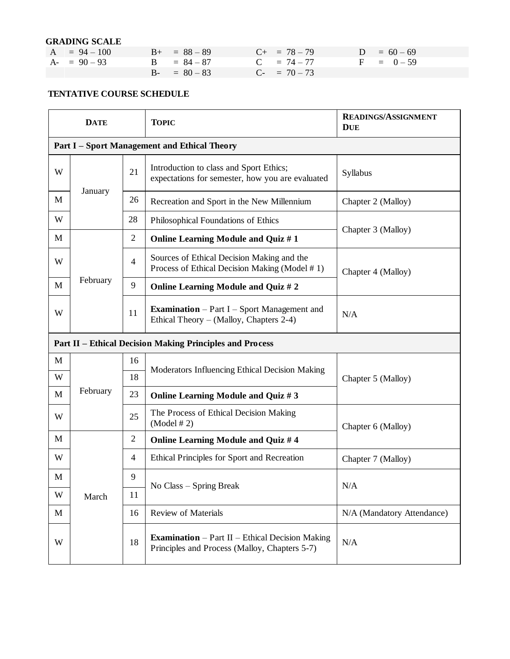### **GRADING SCALE**

| $A = 94 - 100$ | $B_{+}$ = 88 - 89 | $C_{+}$ = 78 - 79<br>$D = 60 - 69$ |  |
|----------------|-------------------|------------------------------------|--|
| $A - 90 - 93$  | $B = 84 - 87$     | $C = 74 - 77$<br>$F = 0 - 59$      |  |
|                | $B - = 80 - 83$   | $C_{-}$ = 70 – 73                  |  |

# **TENTATIVE COURSE SCHEDULE**

| <b>DATE</b>                                  |                                                                 |                | <b>TOPIC</b>                                                                                            | <b>READINGS/ASSIGNMENT</b><br><b>DUE</b> |  |
|----------------------------------------------|-----------------------------------------------------------------|----------------|---------------------------------------------------------------------------------------------------------|------------------------------------------|--|
| Part I - Sport Management and Ethical Theory |                                                                 |                |                                                                                                         |                                          |  |
| W                                            |                                                                 | 21             | Introduction to class and Sport Ethics;<br>expectations for semester, how you are evaluated             | Syllabus                                 |  |
| M                                            | January                                                         | 26             | Recreation and Sport in the New Millennium                                                              | Chapter 2 (Malloy)                       |  |
| W                                            |                                                                 | 28             | Philosophical Foundations of Ethics                                                                     | Chapter 3 (Malloy)                       |  |
| M                                            |                                                                 | $\overline{2}$ | Online Learning Module and Quiz #1                                                                      |                                          |  |
| W                                            |                                                                 | $\overline{4}$ | Sources of Ethical Decision Making and the<br>Process of Ethical Decision Making (Model #1)             | Chapter 4 (Malloy)                       |  |
| M                                            | February                                                        | 9              | Online Learning Module and Quiz #2                                                                      |                                          |  |
| W                                            |                                                                 | 11             | <b>Examination</b> – Part I – Sport Management and<br>Ethical Theory – (Malloy, Chapters 2-4)           | N/A                                      |  |
|                                              | <b>Part II - Ethical Decision Making Principles and Process</b> |                |                                                                                                         |                                          |  |
| M                                            |                                                                 | 16             | Moderators Influencing Ethical Decision Making                                                          |                                          |  |
| W                                            |                                                                 | 18             |                                                                                                         | Chapter 5 (Malloy)                       |  |
| M                                            | February                                                        | 23             | Online Learning Module and Quiz #3                                                                      |                                          |  |
| W                                            |                                                                 | 25             | The Process of Ethical Decision Making<br>(Model # 2)                                                   | Chapter 6 (Malloy)                       |  |
| M                                            |                                                                 | $\mathbf{2}$   | Online Learning Module and Quiz #4                                                                      |                                          |  |
| W                                            |                                                                 | 4              | Ethical Principles for Sport and Recreation                                                             | Chapter 7 (Malloy)                       |  |
| M                                            |                                                                 | 9              | No Class - Spring Break                                                                                 | N/A                                      |  |
| W                                            | March                                                           | 11             |                                                                                                         |                                          |  |
| M                                            |                                                                 | 16             | <b>Review of Materials</b>                                                                              | N/A (Mandatory Attendance)               |  |
| W                                            |                                                                 |                | <b>Examination</b> – Part II – Ethical Decision Making<br>Principles and Process (Malloy, Chapters 5-7) | N/A                                      |  |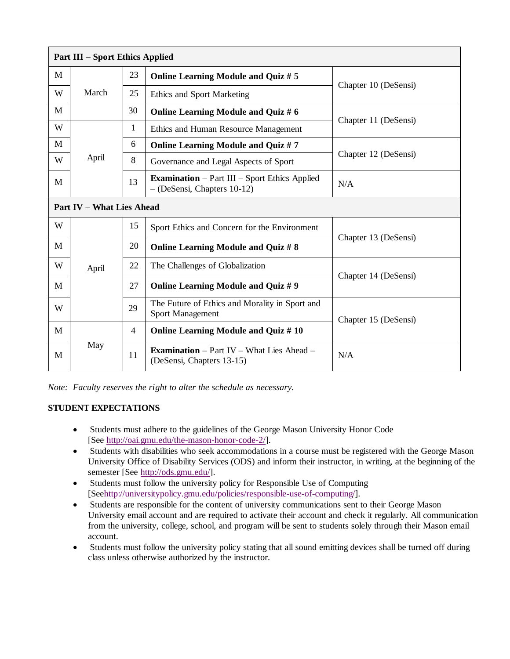| <b>Part III – Sport Ethics Applied</b> |                                  |    |                                                                                      |                      |  |
|----------------------------------------|----------------------------------|----|--------------------------------------------------------------------------------------|----------------------|--|
| M                                      | March                            | 23 | Online Learning Module and Quiz # 5                                                  | Chapter 10 (DeSensi) |  |
| W                                      |                                  | 25 | <b>Ethics and Sport Marketing</b>                                                    |                      |  |
| М                                      |                                  | 30 | Online Learning Module and Quiz # 6                                                  |                      |  |
| W                                      | April                            | 1  | Ethics and Human Resource Management                                                 | Chapter 11 (DeSensi) |  |
| M                                      |                                  | 6  | Online Learning Module and Quiz #7                                                   |                      |  |
| W                                      |                                  | 8  | Governance and Legal Aspects of Sport                                                | Chapter 12 (DeSensi) |  |
| М                                      |                                  | 13 | <b>Examination</b> – Part III – Sport Ethics Applied<br>$-(DeSensi, Chapters 10-12)$ | N/A                  |  |
|                                        | <b>Part IV - What Lies Ahead</b> |    |                                                                                      |                      |  |
| W                                      |                                  | 15 | Sport Ethics and Concern for the Environment                                         |                      |  |
| M                                      |                                  | 20 | Online Learning Module and Quiz # 8                                                  | Chapter 13 (DeSensi) |  |
| W                                      | April                            | 22 | The Challenges of Globalization                                                      | Chapter 14 (DeSensi) |  |
| М                                      |                                  | 27 | Online Learning Module and Quiz #9                                                   |                      |  |
| W                                      |                                  | 29 | The Future of Ethics and Morality in Sport and<br><b>Sport Management</b>            | Chapter 15 (DeSensi) |  |
| M                                      | May                              | 4  | Online Learning Module and Quiz #10                                                  |                      |  |
| M                                      |                                  | 11 | <b>Examination</b> – Part IV – What Lies Ahead –<br>(DeSensi, Chapters 13-15)        | N/A                  |  |

*Note: Faculty reserves the right to alter the schedule as necessary.*

## **STUDENT EXPECTATIONS**

- Students must adhere to the guidelines of the George Mason University Honor Code [See [http://oai.gmu.edu/the-mason-honor-code-2/\]](http://oai.gmu.edu/the-mason-honor-code-2/).
- Students with disabilities who seek accommodations in a course must be registered with the George Mason University Office of Disability Services (ODS) and inform their instructor, in writing, at the beginning of the semester [See [http://ods.gmu.edu/\]](http://ods.gmu.edu/).
- Students must follow the university policy for Responsible Use of Computing [Se[ehttp://universitypolicy.gmu.edu/policies/responsible-use-of-computing/\]](http://universitypolicy.gmu.edu/policies/responsible-use-of-computing/).
- Students are responsible for the content of university communications sent to their George Mason University email account and are required to activate their account and check it regularly. All communication from the university, college, school, and program will be sent to students solely through their Mason email account.
- Students must follow the university policy stating that all sound emitting devices shall be turned off during class unless otherwise authorized by the instructor.